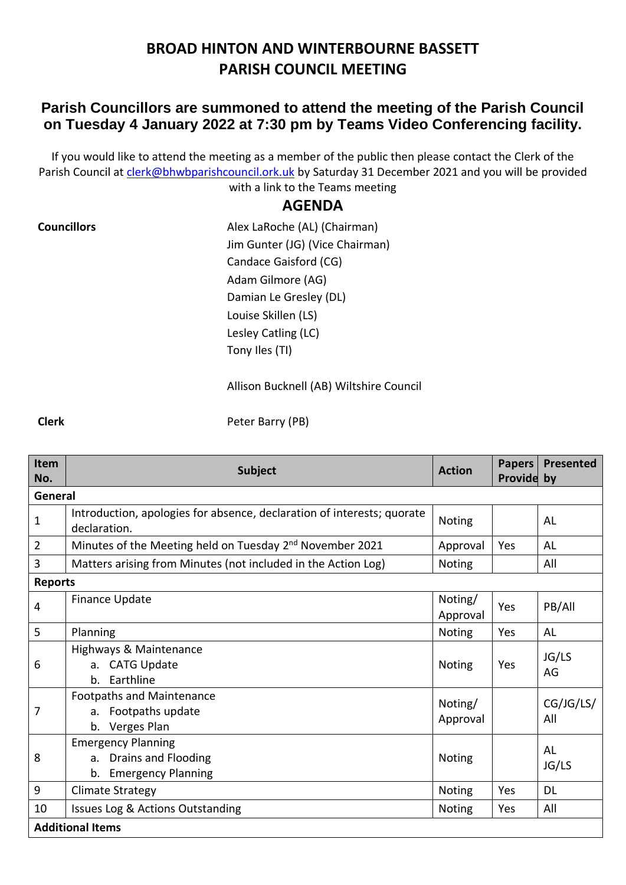## **BROAD HINTON AND WINTERBOURNE BASSETT PARISH COUNCIL MEETING**

## **Parish Councillors are summoned to attend the meeting of the Parish Council on Tuesday 4 January 2022 at 7:30 pm by Teams Video Conferencing facility.**

If you would like to attend the meeting as a member of the public then please contact the Clerk of the Parish Council at [clerk@bhwbparishcouncil.ork.uk](mailto:clerk@bhwbparishcouncil.ork.uk) by Saturday 31 December 2021 and you will be provided with a link to the Teams meeting

## **AGENDA**

**Councillors Councillors Alex LaRoche (AL) (Chairman)** Jim Gunter (JG) (Vice Chairman) Candace Gaisford (CG) Adam Gilmore (AG) Damian Le Gresley (DL) Louise Skillen (LS) Lesley Catling (LC) Tony Iles (TI)

Allison Bucknell (AB) Wiltshire Council

**Clerk** Peter Barry (PB)

| Item<br>No.             | <b>Subject</b>                                                                         | <b>Action</b>       | <b>Papers</b><br>Provide by | Presented        |  |  |  |  |
|-------------------------|----------------------------------------------------------------------------------------|---------------------|-----------------------------|------------------|--|--|--|--|
| General                 |                                                                                        |                     |                             |                  |  |  |  |  |
| $\mathbf 1$             | Introduction, apologies for absence, declaration of interests; quorate<br>declaration. | <b>Noting</b>       |                             | AL               |  |  |  |  |
| $\overline{2}$          | Minutes of the Meeting held on Tuesday 2 <sup>nd</sup> November 2021                   | Approval            | Yes                         | AL               |  |  |  |  |
| 3                       | Matters arising from Minutes (not included in the Action Log)                          | Noting              |                             | All              |  |  |  |  |
| <b>Reports</b>          |                                                                                        |                     |                             |                  |  |  |  |  |
| 4                       | <b>Finance Update</b>                                                                  | Noting/<br>Approval | Yes                         | PB/All           |  |  |  |  |
| 5                       | Planning                                                                               | Noting              | Yes                         | AL               |  |  |  |  |
| 6                       | Highways & Maintenance<br>a. CATG Update<br>Earthline<br>$\mathbf{b}$ .                | <b>Noting</b>       | Yes                         | JG/LS<br>AG      |  |  |  |  |
| 7                       | <b>Footpaths and Maintenance</b><br>Footpaths update<br>a.<br>Verges Plan<br>b.        | Noting/<br>Approval |                             | CG/JG/LS/<br>All |  |  |  |  |
| 8                       | <b>Emergency Planning</b><br>a. Drains and Flooding<br><b>Emergency Planning</b><br>b. | Noting              |                             | AL<br>JG/LS      |  |  |  |  |
| 9                       | Climate Strategy                                                                       | Noting              | Yes                         | <b>DL</b>        |  |  |  |  |
| 10                      | Issues Log & Actions Outstanding                                                       | Noting              | Yes                         | All              |  |  |  |  |
| <b>Additional Items</b> |                                                                                        |                     |                             |                  |  |  |  |  |